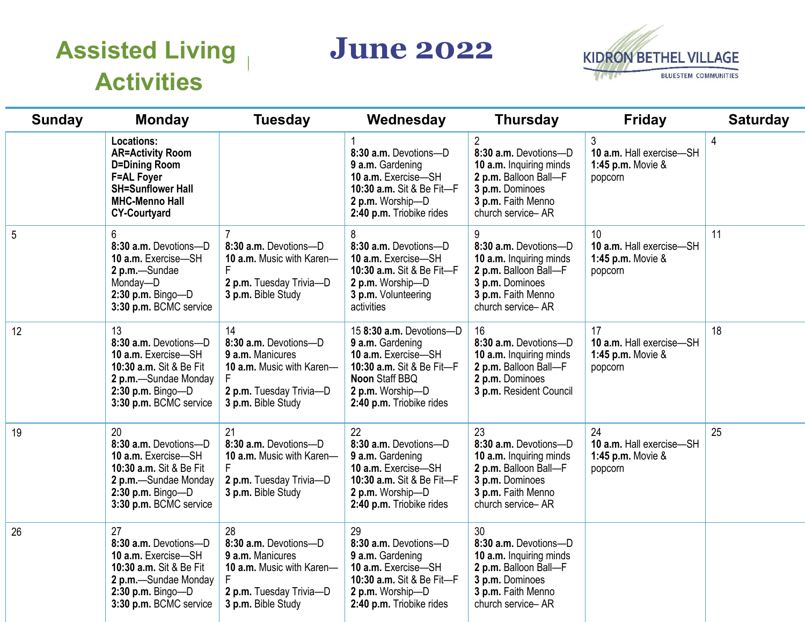## **Assisted Living Activities**

**June 2022** 



| <b>Sunday</b> | <b>Monday</b>                                                                                                                                                         | <b>Tuesday</b>                                                                                                                | Wednesday                                                                                                                                                          | <b>Thursday</b>                                                                                                                                           | <b>Friday</b>                                                  | <b>Saturday</b> |
|---------------|-----------------------------------------------------------------------------------------------------------------------------------------------------------------------|-------------------------------------------------------------------------------------------------------------------------------|--------------------------------------------------------------------------------------------------------------------------------------------------------------------|-----------------------------------------------------------------------------------------------------------------------------------------------------------|----------------------------------------------------------------|-----------------|
|               | <b>Locations:</b><br><b>AR=Activity Room</b><br><b>D=Dining Room</b><br><b>F=AL Foyer</b><br><b>SH=Sunflower Hall</b><br><b>MHC-Menno Hall</b><br><b>CY-Courtyard</b> |                                                                                                                               | 8:30 a.m. Devotions-D<br>9 a.m. Gardening<br>10 a.m. Exercise-SH<br>10:30 a.m. Sit & Be Fit-F<br>2 p.m. Worship-D<br>2:40 p.m. Triobike rides                      | $\overline{2}$<br>8:30 a.m. Devotions-D<br>10 a.m. Inquiring minds<br>2 p.m. Balloon Ball-F<br>3 p.m. Dominoes<br>3 p.m. Faith Menno<br>church service-AR | 3<br>10 a.m. Hall exercise-SH<br>1:45 p.m. Movie &<br>popcorn  | $\overline{4}$  |
| 5             | 6<br>8:30 a.m. Devotions-D<br>10 a.m. Exercise-SH<br>2 p.m.-Sundae<br>Monday-D<br>$2:30$ p.m. Bingo-D<br>3:30 p.m. BCMC service                                       | 8:30 a.m. Devotions-D<br>10 a.m. Music with Karen-<br>2 p.m. Tuesday Trivia-D<br>3 p.m. Bible Study                           | 8<br>8:30 a.m. Devotions-D<br>10 a.m. Exercise-SH<br>10:30 a.m. Sit & Be Fit-F<br>2 p.m. Worship-D<br>3 p.m. Volunteering<br>activities                            | 9<br>8:30 a.m. Devotions-D<br>10 a.m. Inquiring minds<br>2 p.m. Balloon Ball-F<br>3 p.m. Dominoes<br>3 p.m. Faith Menno<br>church service-AR              | 10<br>10 a.m. Hall exercise-SH<br>1:45 p.m. Movie &<br>popcorn | 11              |
| 12            | 13<br>8:30 a.m. Devotions-D<br>10 a.m. Exercise-SH<br>10:30 a.m. Sit & Be Fit<br>2 p.m.-Sundae Monday<br>$2:30$ p.m. Bingo-D<br>3:30 p.m. BCMC service                | 14<br>8:30 a.m. Devotions-D<br>9 a.m. Manicures<br>10 a.m. Music with Karen-<br>2 p.m. Tuesday Trivia-D<br>3 p.m. Bible Study | 15 8:30 a.m. Devotions-D<br>9 a.m. Gardening<br>10 a.m. Exercise-SH<br>10:30 a.m. Sit & Be Fit-F<br>Noon Staff BBQ<br>2 p.m. Worship-D<br>2:40 p.m. Triobike rides | 16<br>8:30 a.m. Devotions-D<br>10 a.m. Inquiring minds<br>2 p.m. Balloon Ball-F<br>2 p.m. Dominoes<br>3 p.m. Resident Council                             | 17<br>10 a.m. Hall exercise-SH<br>1:45 p.m. Movie &<br>popcorn | 18              |
| 19            | 20<br>8:30 a.m. Devotions-D<br>10 a.m. Exercise-SH<br>10:30 a.m. Sit & Be Fit<br>2 p.m. - Sundae Monday<br>$2:30$ p.m. Bingo-D<br>3:30 p.m. BCMC service              | 21<br>8:30 a.m. Devotions-D<br>10 a.m. Music with Karen-<br>2 p.m. Tuesday Trivia-D<br>3 p.m. Bible Study                     | 22<br>8:30 a.m. Devotions-D<br>9 a.m. Gardening<br>10 a.m. Exercise-SH<br>10:30 a.m. Sit & Be Fit-F<br>2 p.m. Worship-D<br>2:40 p.m. Triobike rides                | 23<br>8:30 a.m. Devotions-D<br>10 a.m. Inquiring minds<br>2 p.m. Balloon Ball-F<br>3 p.m. Dominoes<br>3 p.m. Faith Menno<br>church service-AR             | 24<br>10 a.m. Hall exercise-SH<br>1:45 p.m. Movie &<br>popcorn | 25              |
| 26            | 27<br>8:30 a.m. Devotions-D<br>10 a.m. Exercise-SH<br>10:30 a.m. Sit & Be Fit<br>2 p.m.-Sundae Monday<br>$2:30$ p.m. Bingo-D<br>3:30 p.m. BCMC service                | 28<br>8:30 a.m. Devotions-D<br>9 a.m. Manicures<br>10 a.m. Music with Karen-<br>2 p.m. Tuesday Trivia-D<br>3 p.m. Bible Study | 29<br>8:30 a.m. Devotions-D<br>9 a.m. Gardening<br>10 a.m. Exercise-SH<br>10:30 a.m. Sit & Be Fit-F<br>2 p.m. Worship-D<br>2:40 p.m. Triobike rides                | 30<br>8:30 a.m. Devotions-D<br>10 a.m. Inquiring minds<br>2 p.m. Balloon Ball-F<br>3 p.m. Dominoes<br>3 p.m. Faith Menno<br>church service-AR             |                                                                |                 |